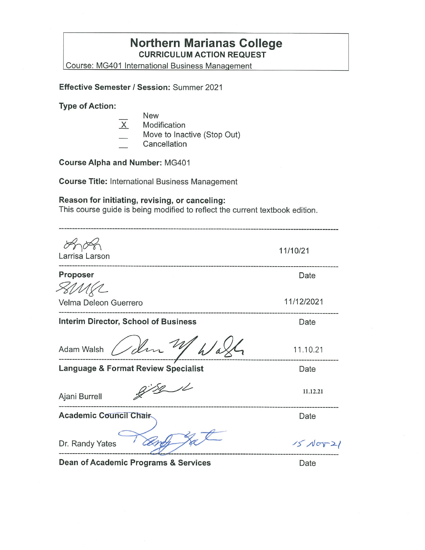# **Northern Marianas College CURRICULUM ACTION REQUEST**

Course: MG401 International Business Manaaement

**Effective Semester/ Session:** Summer 2021

**Type of Action:** 

|          | <b>New</b>                                  |
|----------|---------------------------------------------|
| $\times$ | Modification                                |
|          | Move to Inactive (Stop Out)<br>Cancellation |

**Course Alpha and Number:** MG401

**Course Title:** International Business Management

### **Reason for initiating, revising, or canceling:**

This course guide is being modified to reflect the current textbook edition.

| Larrisa Larson                                 | 11/10/21         |
|------------------------------------------------|------------------|
|                                                |                  |
| <b>Proposer</b>                                | Date             |
| Velma Deleon Guerrero                          | 11/12/2021       |
| <b>Interim Director, School of Business</b>    | Date             |
| I den 14<br>Adam Walsh                         | 11.10.21         |
| <b>Language &amp; Format Review Specialist</b> | Date             |
| Ajani Burrell                                  | 11.12.21         |
| <b>Academic Council Chair</b>                  | Date             |
| Dr. Randy Yates                                | $15\text{Nory2}$ |

**Dean of Academic Programs & Services Date**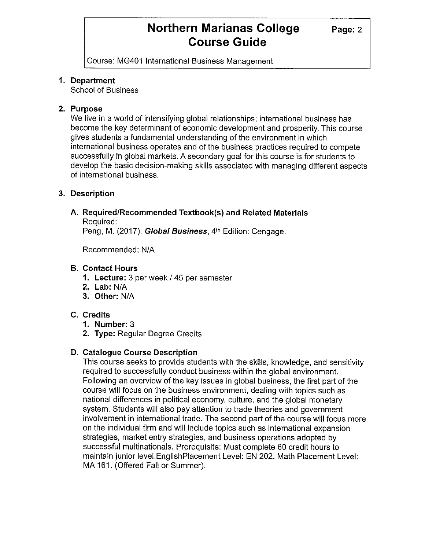Course: MG401 International Business Management

### **1. Department**

School of Business

## **2. Purpose**

We live in a world of intensifying global relationships; international business has become the key determinant of economic development and prosperity. This course gives students a fundamental understanding of the environment in which international business operates and of the business practices required to compete successfully in global markets. A secondary goal for this course is for students to develop the basic decision-making skills associated with managing different aspects of international business.

## **3. Description**

# **A. Required/Recommended Textbook(s) and Related Materials**

Required:

Peng, M. (2017). **Global Business**, 4<sup>th</sup> Edition: Cengage.

Recommended: NIA

## **B. Contact Hours**

- **1. Lecture:** 3 per week/ 45 per semester
- **2. Lab:** N/A
- **3. Other:** N/A

# **C. Credits**

- **1. Number:** 3
- **2. Type:** Regular Degree Credits

# **D. Catalogue Course Description**

This course seeks to provide students with the skills, knowledge, and sensitivity required to successfully conduct business within the global environment. Following an overview of the key issues in global business, the first part of the course will focus on the business environment, dealing with topics such as national differences in political economy, culture, and the global monetary system. Students will also pay attention to trade theories and government involvement in international trade. The second part of the course will focus more on the individual firm and will include topics such as international expansion strategies, market entry strategies, and business operations adopted by successful multinationals. Prerequisite: Must complete 60 credit hours to maintain junior level.EnglishPlacement Level: EN 202. Math Placement Level: MA 161. (Offered Fall or Summer).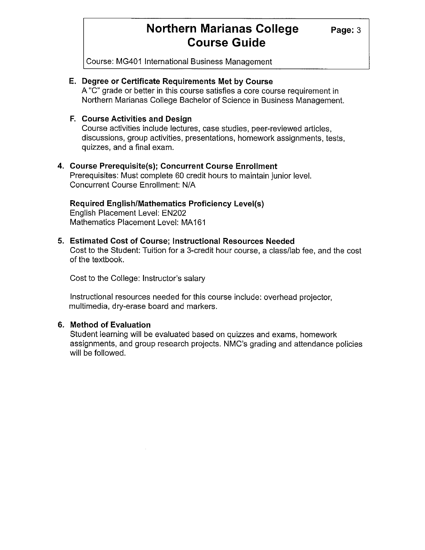Course: MG401 International Business Management

#### **E. Degree or Certificate Requirements Met by Course**

A "C" grade or better in this course satisfies a core course requirement in Northern Marianas College Bachelor of Science in Business Management.

#### **F. Course Activities and Design**

Course activities include lectures, case studies, peer-reviewed articles, discussions, group activities, presentations, homework assignments, tests, quizzes, and a final exam.

#### **4. Course Prerequisite(s); Concurrent Course Enrollment**

Prerequisites: Must complete 60 credit hours to maintain junior level. Concurrent Course Enrollment: N/A

#### **Required English/Mathematics Proficiency Level(s)**  English Placement Level: EN202 Mathematics Placement Level: MA161

### **5. Estimated Cost of Course; Instructional Resources Needed**

Cost to the Student: Tuition for a 3-credit hour course, a class/lab fee, and the cost of the textbook.

Cost to the College: Instructor's salary

Instructional resources needed for this course include: overhead projector, multimedia, dry-erase board and markers.

#### **6. Method of Evaluation**

Student learning will be evaluated based on quizzes and exams, homework assignments, and group research projects. NMC's grading and attendance policies will be followed.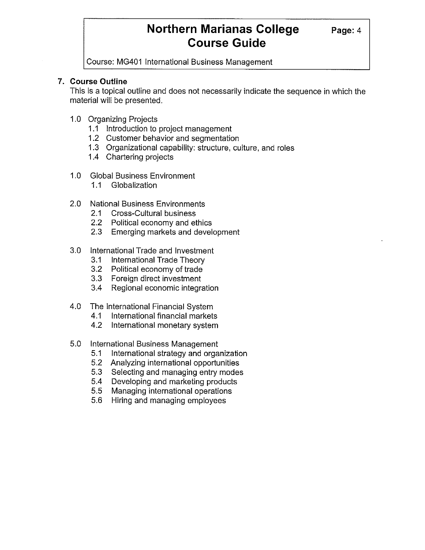Course: MG401 International Business Management

### **7. Course Outline**

This is a topical outline and does not necessarily indicate the sequence in which the material will be presented.

- 1.0 Organizing Projects
	- 1.1 Introduction to project management
	- 1.2 Customer behavior and segmentation
	- 1.3 Organizational capability: structure, culture, and roles
	- 1.4 Chartering projects
- 1.0 Global Business Environment
	- 1.1 Globalization
- 2.0 National Business Environments
	- 2.1 Cross-Cultural business
	- 2.2 Political economy and ethics
	- 2.3 Emerging markets and development
- 3.0 International Trade and Investment
	- 3.1 International Trade Theory
	- 3.2 Political economy of trade
	- 3.3 Foreign direct investment
	- 3.4 Regional economic integration
- 4.0 The International Financial System
	- 4.1 International financial markets
	- 4.2 International monetary system
- 5.0 International Business Management
	- 5.1 International strategy and organization
	- 5.2 Analyzing international opportunities
	- 5.3 Selecting and managing entry modes
	- 5.4 Developing and marketing products
	- 5.5 Managing international operations
	- 5.6 Hiring and managing employees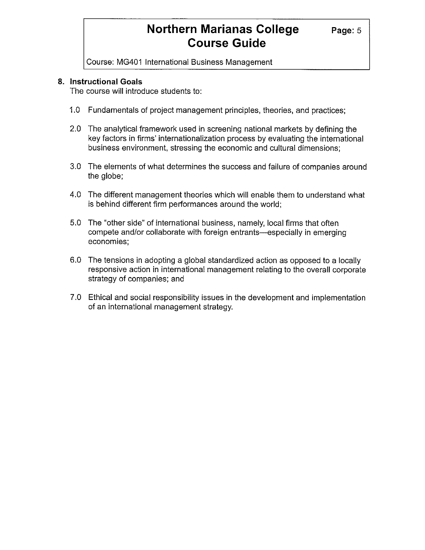Course: MG401 International Business Management

#### **8. Instructional Goals**

The course will introduce students to:

- 1.0 Fundamentals of project management principles, theories, and practices;
- 2.0 The analytical framework used in screening national markets by defining the key factors in firms' internationalization process by evaluating the international business environment, stressing the economic and cultural dimensions;
- 3.0 The elements of what determines the success and failure of companies around the globe;
- 4.0 The different management theories which will enable them to understand what is behind different firm performances around the world;
- 5.0 The "other side" of international business, namely, local firms that often compete and/or collaborate with foreign entrants-especially in emerging economies;
- 6.0 The tensions in adopting a global standardized action as opposed to a locally responsive action in international management relating to the overall corporate strategy of companies; and
- 7 .0 Ethical and social responsibility issues in the development and implementation of an international management strategy.